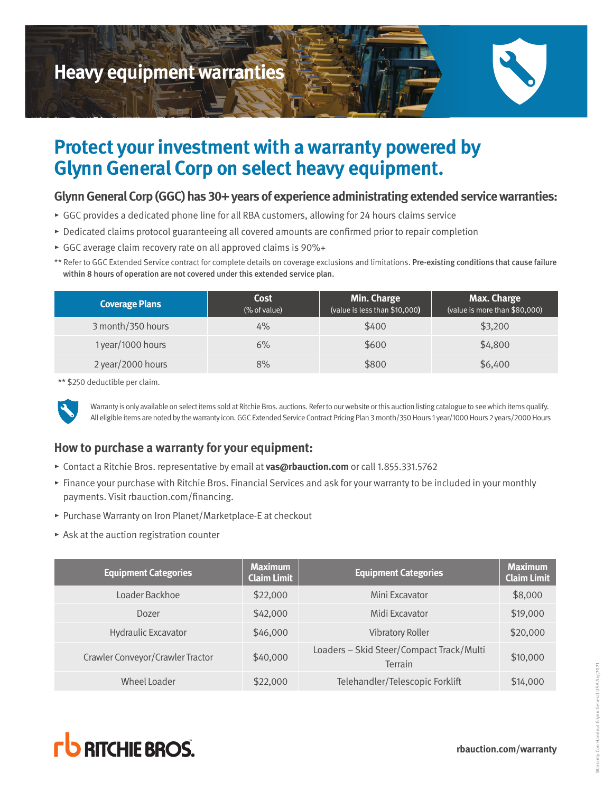

# **Protect your investment with a warranty powered by Glynn General Corp on select heavy equipment.**

#### **Glynn General Corp (GGC) has 30+ years of experience administrating extended service warranties:**

- ▸ GGC provides a dedicated phone line for all RBA customers, allowing for 24 hours claims service
- ▸ Dedicated claims protocol guaranteeing all covered amounts are confirmed prior to repair completion
- ▸ GGC average claim recovery rate on all approved claims is 90%+
- \*\* Refer to GGC Extended Service contract for complete details on coverage exclusions and limitations. Pre-existing conditions that cause failure within 8 hours of operation are not covered under this extended service plan.

| <b>Coverage Plans</b> | Cost<br>(% of value) | Min. Charge<br>(value is less than \$10,000) | <b>Max. Charge</b><br>(value is more than \$80,000) |
|-----------------------|----------------------|----------------------------------------------|-----------------------------------------------------|
| 3 month/350 hours     | $4\%$                | \$400                                        | \$3,200                                             |
| 1 year/1000 hours     | 6%                   | \$600                                        | \$4,800                                             |
| 2 year/2000 hours     | 8%                   | \$800                                        | \$6,400                                             |

\*\* \$250 deductible per claim.



Warranty is only available on select items sold at Ritchie Bros. auctions. Refer to our website or this auction listing catalogue to see which items qualify. All eligible items are noted by the warranty icon. GGC Extended Service Contract Pricing Plan 3 month/350 Hours 1 year/1000 Hours 2 years/2000 Hours

# **How to purchase a warranty for your equipment:**

- ▸ Contact a Ritchie Bros. representative by email at **vas@rbauction.com** or call 1.855.331.5762
- ▸ Finance your purchase with Ritchie Bros. Financial Services and ask for your warranty to be included in your monthly payments. Visit rbauction.com/financing.
- ▸ Purchase Warranty on Iron Planet/Marketplace-E at checkout
- $\triangleright$  Ask at the auction registration counter

| <b>Equipment Categories</b>      | <b>Maximum</b><br><b>Claim Limit</b> | <b>Equipment Categories</b>                                | <b>Maximum</b><br><b>Claim Limit</b> |
|----------------------------------|--------------------------------------|------------------------------------------------------------|--------------------------------------|
| Loader Backhoe                   | \$22,000                             | Mini Excavator                                             | \$8,000                              |
| Dozer                            | \$42,000                             | Midi Excavator                                             | \$19,000                             |
| <b>Hydraulic Excavator</b>       | \$46,000                             | <b>Vibratory Roller</b>                                    | \$20,000                             |
| Crawler Conveyor/Crawler Tractor | \$40,000                             | Loaders - Skid Steer/Compact Track/Multi<br><b>Terrain</b> | \$10,000                             |
| Wheel Loader                     | \$22,000                             | Telehandler/Telescopic Forklift                            | \$14,000                             |